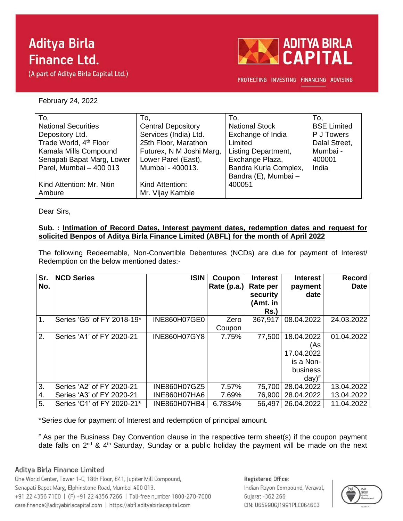# **Aditya Birla Finance Ltd.**

(A part of Aditya Birla Capital Ltd.)



PROTECTING INVESTING FINANCING ADVISING

February 24, 2022

| To,                                | To,                       | To.                        | To.                |
|------------------------------------|---------------------------|----------------------------|--------------------|
| <b>National Securities</b>         | <b>Central Depository</b> | <b>National Stock</b>      | <b>BSE Limited</b> |
| Depository Ltd.                    | Services (India) Ltd.     | Exchange of India          | P J Towers         |
| Trade World, 4 <sup>th</sup> Floor | 25th Floor, Marathon      | Limited                    | Dalal Street,      |
| Kamala Mills Compound              | Futurex, N M Joshi Marg,  | <b>Listing Department,</b> | Mumbai -           |
| Senapati Bapat Marg, Lower         | Lower Parel (East),       | Exchange Plaza,            | 400001             |
| Parel, Mumbai - 400 013            | Mumbai - 400013.          | Bandra Kurla Complex,      | India              |
|                                    |                           | Bandra (E), Mumbai -       |                    |
| Kind Attention: Mr. Nitin          | Kind Attention:           | 400051                     |                    |
| Ambure                             | Mr. Vijay Kamble          |                            |                    |

Dear Sirs,

### **Sub. : Intimation of Record Dates, Interest payment dates, redemption dates and request for solicited Benpos of Aditya Birla Finance Limited (ABFL) for the month of April 2022**

The following Redeemable, Non-Convertible Debentures (NCDs) are due for payment of Interest/ Redemption on the below mentioned dates:-

| Sr.<br>No. | <b>NCD Series</b>          | <b>ISIN</b>         | Coupon<br>Rate $(p.a.)$ | <b>Interest</b><br>Rate per<br>security<br>(Amt. in<br>Rs. | <b>Interest</b><br>payment<br>date                                      | <b>Record</b><br><b>Date</b> |
|------------|----------------------------|---------------------|-------------------------|------------------------------------------------------------|-------------------------------------------------------------------------|------------------------------|
| 1.         | Series 'G5' of FY 2018-19* | INE860H07GE0        | Zero<br>Coupon          | 367,917                                                    | 08.04.2022                                                              | 24.03.2022                   |
| 2.         | Series 'A1' of FY 2020-21  | <b>INE860H07GY8</b> | 7.75%                   | 77,500                                                     | 18.04.2022<br>(As<br>17.04.2022<br>is a Non-<br>business<br>$day)^{\#}$ | 01.04.2022                   |
| 3.         | Series 'A2' of FY 2020-21  | INE860H07GZ5        | 7.57%                   | 75,700                                                     | 28.04.2022                                                              | 13.04.2022                   |
| 4.         | Series 'A3' of FY 2020-21  | INE860H07HA6        | 7.69%                   | 76,900                                                     | 28.04.2022                                                              | 13.04.2022                   |
| 5.         | Series 'C1' of FY 2020-21* | INE860H07HB4        | 6.7834%                 | 56,497                                                     | 26.04.2022                                                              | 11.04.2022                   |

\*Series due for payment of Interest and redemption of principal amount.

# As per the Business Day Convention clause in the respective term sheet(s) if the coupon payment date falls on 2<sup>nd</sup> & 4<sup>th</sup> Saturday, Sunday or a public holiday the payment will be made on the next

### Aditya Birla Finance Limited

One World Center, Tower 1-C, 18th Floor, 841, Jupiter Mill Compound, Senapati Bapat Marg, Elphinstone Road, Mumbai 400 013. +91 22 4356 7100 | (F) +91 22 4356 7266 | Toll-free number 1800-270-7000 care.finance@adityabirlacapital.com | https://abfl.adityabirlacapital.com